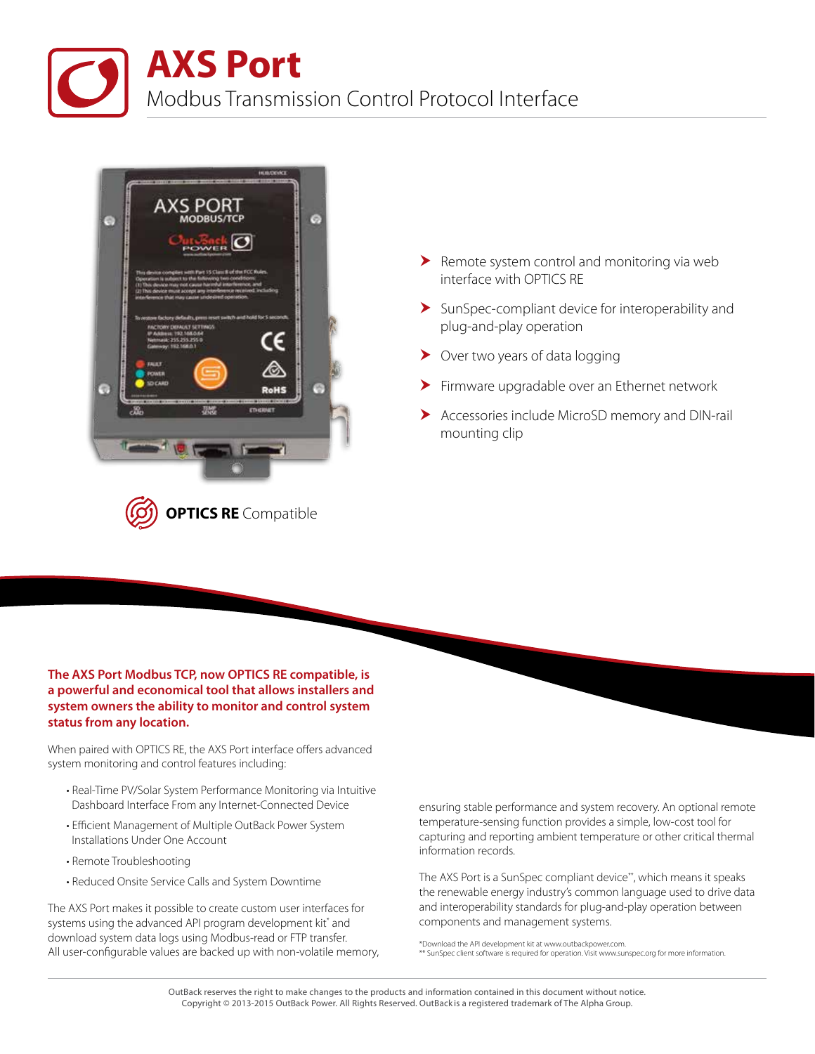



- $\blacktriangleright$  Remote system control and monitoring via web interface with OPTICS RE
- $\blacktriangleright$  SunSpec-compliant device for interoperability and plug-and-play operation
- ▶ Over two years of data logging
- Firmware upgradable over an Ethernet network
- Accessories include MicroSD memory and DIN-rail mounting clip

## **The AXS Port Modbus TCP, now OPTICS RE compatible, is a powerful and economical tool that allows installers and system owners the ability to monitor and control system status from any location.**

When paired with OPTICS RE, the AXS Port interface offers advanced system monitoring and control features including:

- Real-Time PV/Solar System Performance Monitoring via Intuitive Dashboard Interface From any Internet-Connected Device
- Efficient Management of Multiple OutBack Power System Installations Under One Account
- Remote Troubleshooting
- Reduced Onsite Service Calls and System Downtime

The AXS Port makes it possible to create custom user interfaces for systems using the advanced API program development kit\* and download system data logs using Modbus-read or FTP transfer. All user-configurable values are backed up with non-volatile memory, ensuring stable performance and system recovery. An optional remote temperature-sensing function provides a simple, low-cost tool for capturing and reporting ambient temperature or other critical thermal information records.

The AXS Port is a SunSpec compliant device\*\*, which means it speaks the renewable energy industry's common language used to drive data and interoperability standards for plug-and-play operation between components and management systems.

\*Download the API development kit at www.outbackpower.com. \* SunSpec client software is required for operation. Visit www.sunspec.org for more information.

OutBack reserves the right to make changes to the products and information contained in this document without notice. Copyright © 2013-2015 OutBack Power. All Rights Reserved. OutBack is a registered trademark of The Alpha Group.